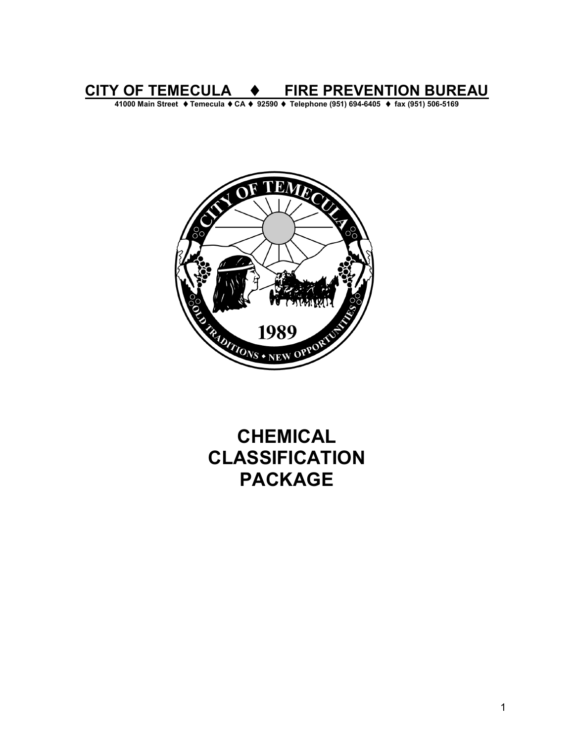**CITY OF TEMECULA** ♦ **FIRE PREVENTION BUREAU** 

**41000 Main Street** ♦ **Temecula** ♦ **CA** ♦ **92590** ♦ **Telephone (951) 694-6405** ♦ **fax (951) 506-5169** 



# **CHEMICAL CLASSIFICATION PACKAGE**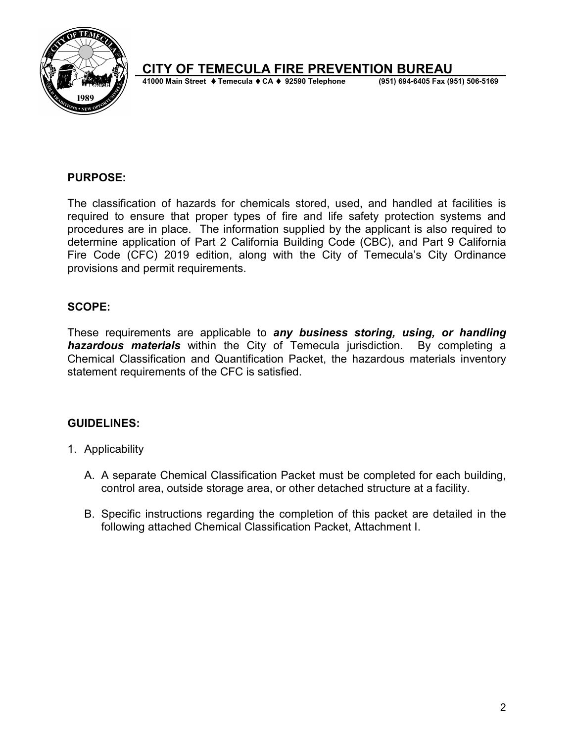

# **CITY OF TEMECULA FIRE PREVENTION BUREAU**

**41000 Main Street ♦ Temecula ♦ CA ♦ 92590 Telephone** 

#### **PURPOSE:**

The classification of hazards for chemicals stored, used, and handled at facilities is required to ensure that proper types of fire and life safety protection systems and procedures are in place. The information supplied by the applicant is also required to determine application of Part 2 California Building Code (CBC), and Part 9 California Fire Code (CFC) 2019 edition, along with the City of Temecula's City Ordinance provisions and permit requirements.

#### **SCOPE:**

These requirements are applicable to *any business storing, using, or handling hazardous materials* within the City of Temecula jurisdiction. By completing a Chemical Classification and Quantification Packet, the hazardous materials inventory statement requirements of the CFC is satisfied.

#### **GUIDELINES:**

- 1. Applicability
	- A. A separate Chemical Classification Packet must be completed for each building, control area, outside storage area, or other detached structure at a facility.
	- B. Specific instructions regarding the completion of this packet are detailed in the following attached Chemical Classification Packet, Attachment I.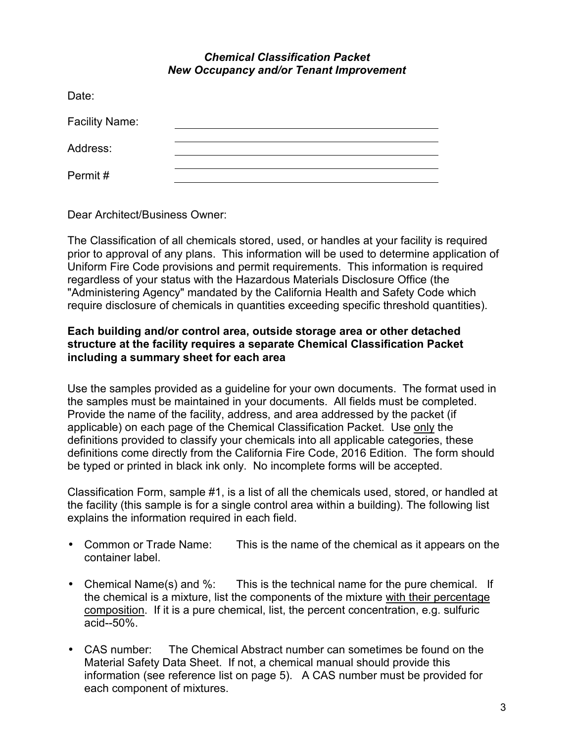#### *Chemical Classification Packet New Occupancy and/or Tenant Improvement*

| Date:                 |  |
|-----------------------|--|
| <b>Facility Name:</b> |  |
| Address:              |  |
| Permit#               |  |

Dear Architect/Business Owner:

The Classification of all chemicals stored, used, or handles at your facility is required prior to approval of any plans. This information will be used to determine application of Uniform Fire Code provisions and permit requirements. This information is required regardless of your status with the Hazardous Materials Disclosure Office (the "Administering Agency" mandated by the California Health and Safety Code which require disclosure of chemicals in quantities exceeding specific threshold quantities).

#### **Each building and/or control area, outside storage area or other detached structure at the facility requires a separate Chemical Classification Packet including a summary sheet for each area**

Use the samples provided as a guideline for your own documents. The format used in the samples must be maintained in your documents. All fields must be completed. Provide the name of the facility, address, and area addressed by the packet (if applicable) on each page of the Chemical Classification Packet. Use only the definitions provided to classify your chemicals into all applicable categories, these definitions come directly from the California Fire Code, 2016 Edition. The form should be typed or printed in black ink only. No incomplete forms will be accepted.

Classification Form, sample #1, is a list of all the chemicals used, stored, or handled at the facility (this sample is for a single control area within a building). The following list explains the information required in each field.

- Common or Trade Name: This is the name of the chemical as it appears on the container label.
- Chemical Name(s) and %: This is the technical name for the pure chemical. If the chemical is a mixture, list the components of the mixture with their percentage composition. If it is a pure chemical, list, the percent concentration, e.g. sulfuric acid--50%.
- CAS number: The Chemical Abstract number can sometimes be found on the Material Safety Data Sheet. If not, a chemical manual should provide this information (see reference list on page 5). A CAS number must be provided for each component of mixtures.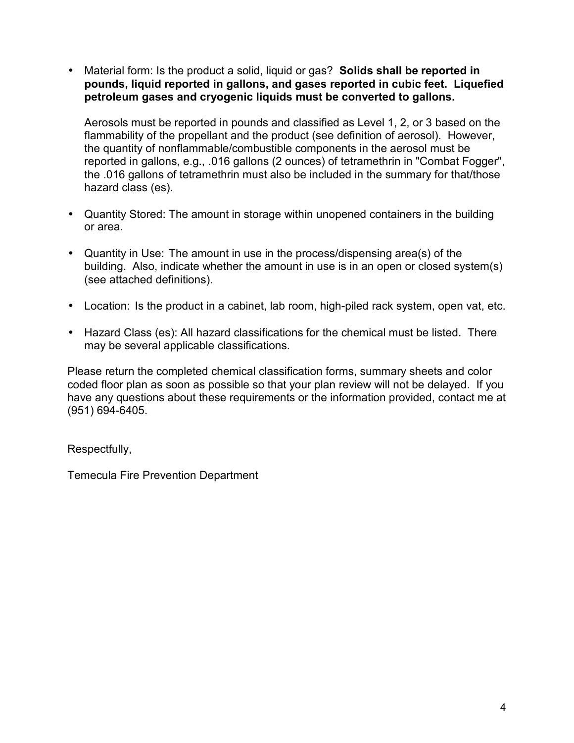• Material form: Is the product a solid, liquid or gas? **Solids shall be reported in pounds, liquid reported in gallons, and gases reported in cubic feet. Liquefied petroleum gases and cryogenic liquids must be converted to gallons.** 

Aerosols must be reported in pounds and classified as Level 1, 2, or 3 based on the flammability of the propellant and the product (see definition of aerosol). However, the quantity of nonflammable/combustible components in the aerosol must be reported in gallons, e.g., .016 gallons (2 ounces) of tetramethrin in "Combat Fogger", the .016 gallons of tetramethrin must also be included in the summary for that/those hazard class (es).

- Quantity Stored: The amount in storage within unopened containers in the building or area.
- Quantity in Use: The amount in use in the process/dispensing area(s) of the building. Also, indicate whether the amount in use is in an open or closed system(s) (see attached definitions).
- Location: Is the product in a cabinet, lab room, high-piled rack system, open vat, etc.
- Hazard Class (es): All hazard classifications for the chemical must be listed. There may be several applicable classifications.

Please return the completed chemical classification forms, summary sheets and color coded floor plan as soon as possible so that your plan review will not be delayed. If you have any questions about these requirements or the information provided, contact me at (951) 694-6405.

Respectfully,

Temecula Fire Prevention Department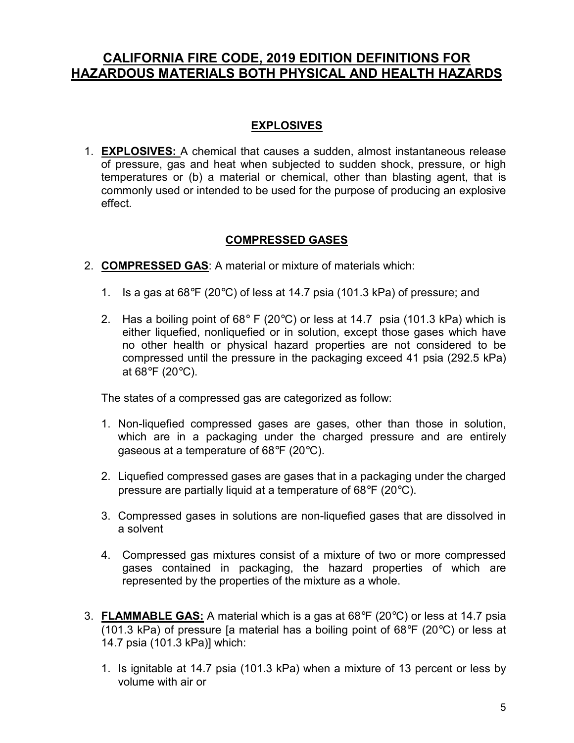# **CALIFORNIA FIRE CODE, 2019 EDITION DEFINITIONS FOR HAZARDOUS MATERIALS BOTH PHYSICAL AND HEALTH HAZARDS**

# **EXPLOSIVES**

1. **EXPLOSIVES:** A chemical that causes a sudden, almost instantaneous release of pressure, gas and heat when subjected to sudden shock, pressure, or high temperatures or (b) a material or chemical, other than blasting agent, that is commonly used or intended to be used for the purpose of producing an explosive effect.

#### **COMPRESSED GASES**

- 2. **COMPRESSED GAS**: A material or mixture of materials which:
	- 1. Is a gas at  $68^{\circ}F$  (20 $^{\circ}C$ ) of less at 14.7 psia (101.3 kPa) of pressure; and
	- 2. Has a boiling point of 68 $\degree$  F (20 $\degree$ C) or less at 14.7 psia (101.3 kPa) which is either liquefied, nonliquefied or in solution, except those gases which have no other health or physical hazard properties are not considered to be compressed until the pressure in the packaging exceed 41 psia (292.5 kPa) at 68 $\mathrm{^{\circ}F}$  (20 $\mathrm{^{\circ}C}$ ).

The states of a compressed gas are categorized as follow:

- 1. Non-liquefied compressed gases are gases, other than those in solution, which are in a packaging under the charged pressure and are entirely gaseous at a temperature of 68°F (20°C).
- 2. Liquefied compressed gases are gases that in a packaging under the charged pressure are partially liquid at a temperature of 68°F (20°C).
- 3. Compressed gases in solutions are non-liquefied gases that are dissolved in a solvent
- 4. Compressed gas mixtures consist of a mixture of two or more compressed gases contained in packaging, the hazard properties of which are represented by the properties of the mixture as a whole.
- 3. **FLAMMABLE GAS:** A material which is a gas at 68°F (20°C) or less at 14.7 psia (101.3 kPa) of pressure [a material has a boiling point of  $68^{\circ}F$  (20 $^{\circ}C$ ) or less at 14.7 psia (101.3 kPa)] which:
	- 1. Is ignitable at 14.7 psia (101.3 kPa) when a mixture of 13 percent or less by volume with air or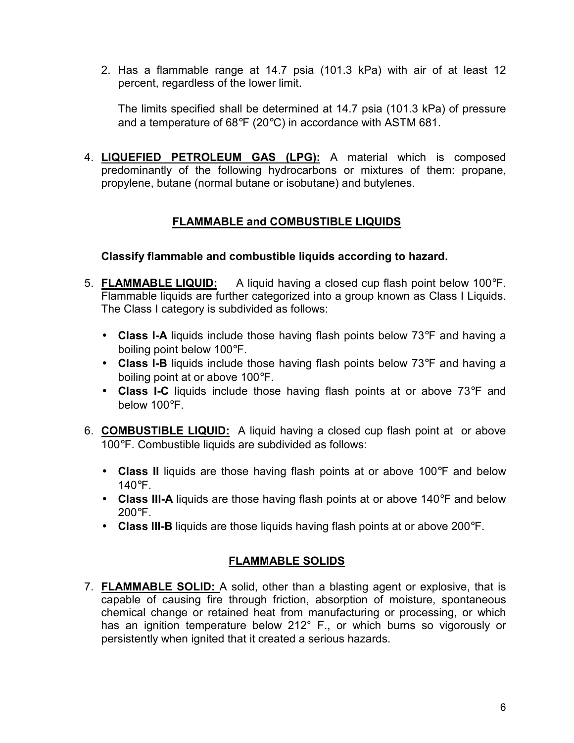2. Has a flammable range at 14.7 psia (101.3 kPa) with air of at least 12 percent, regardless of the lower limit.

The limits specified shall be determined at 14.7 psia (101.3 kPa) of pressure and a temperature of 68°F (20°C) in accordance with ASTM 681.

4. **LIQUEFIED PETROLEUM GAS (LPG):** A material which is composed predominantly of the following hydrocarbons or mixtures of them: propane, propylene, butane (normal butane or isobutane) and butylenes.

# **FLAMMABLE and COMBUSTIBLE LIQUIDS**

#### **Classify flammable and combustible liquids according to hazard.**

- 5. **FLAMMABLE LIQUID:** A liquid having a closed cup flash point below 100°F. Flammable liquids are further categorized into a group known as Class I Liquids. The Class I category is subdivided as follows:
	- **Class I-A** liquids include those having flash points below 73°F and having a boiling point below 100°F.
	- **Class I-B** liquids include those having flash points below 73°F and having a boiling point at or above 100°F.
	- **Class I-C** liquids include those having flash points at or above 73°F and below 100°F.
- 6. **COMBUSTIBLE LIQUID:** A liquid having a closed cup flash point at or above 100°F. Combustible liquids are subdivided as follows:
	- **Class II** liquids are those having flash points at or above 100°F and below 140°F.
	- **Class III-A** liquids are those having flash points at or above 140°F and below  $200^{\circ}$ F.
	- **Class III-B** liquids are those liquids having flash points at or above 200°F.

# **FLAMMABLE SOLIDS**

7. **FLAMMABLE SOLID:** A solid, other than a blasting agent or explosive, that is capable of causing fire through friction, absorption of moisture, spontaneous chemical change or retained heat from manufacturing or processing, or which has an ignition temperature below 212° F., or which burns so vigorously or persistently when ignited that it created a serious hazards.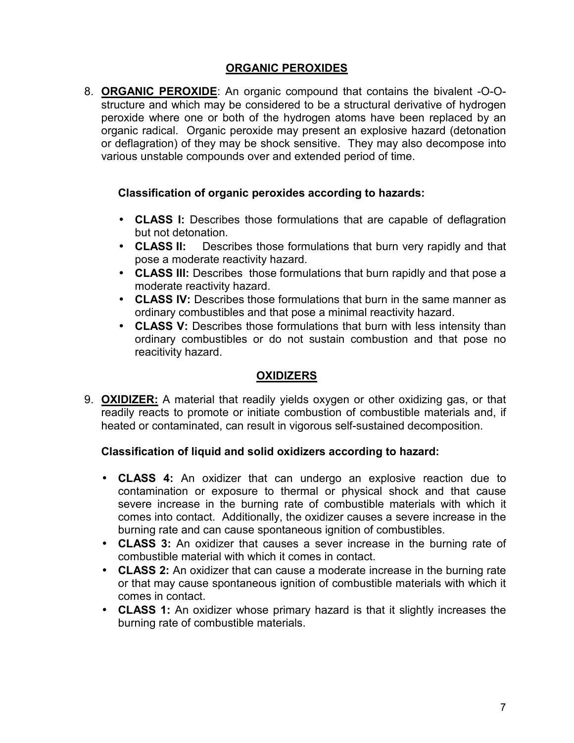### **ORGANIC PEROXIDES**

8. **ORGANIC PEROXIDE**: An organic compound that contains the bivalent -O-Ostructure and which may be considered to be a structural derivative of hydrogen peroxide where one or both of the hydrogen atoms have been replaced by an organic radical. Organic peroxide may present an explosive hazard (detonation or deflagration) of they may be shock sensitive. They may also decompose into various unstable compounds over and extended period of time.

#### **Classification of organic peroxides according to hazards:**

- **CLASS I:** Describes those formulations that are capable of deflagration but not detonation.
- **CLASS II:** Describes those formulations that burn very rapidly and that pose a moderate reactivity hazard.
- **CLASS III:** Describes those formulations that burn rapidly and that pose a moderate reactivity hazard.
- **CLASS IV:** Describes those formulations that burn in the same manner as ordinary combustibles and that pose a minimal reactivity hazard.
- **CLASS V:** Describes those formulations that burn with less intensity than ordinary combustibles or do not sustain combustion and that pose no reacitivity hazard.

# **OXIDIZERS**

9. **OXIDIZER:** A material that readily yields oxygen or other oxidizing gas, or that readily reacts to promote or initiate combustion of combustible materials and, if heated or contaminated, can result in vigorous self-sustained decomposition.

#### **Classification of liquid and solid oxidizers according to hazard:**

- **CLASS 4:** An oxidizer that can undergo an explosive reaction due to contamination or exposure to thermal or physical shock and that cause severe increase in the burning rate of combustible materials with which it comes into contact. Additionally, the oxidizer causes a severe increase in the burning rate and can cause spontaneous ignition of combustibles.
- **CLASS 3:** An oxidizer that causes a sever increase in the burning rate of combustible material with which it comes in contact.
- **CLASS 2:** An oxidizer that can cause a moderate increase in the burning rate or that may cause spontaneous ignition of combustible materials with which it comes in contact.
- **CLASS 1:** An oxidizer whose primary hazard is that it slightly increases the burning rate of combustible materials.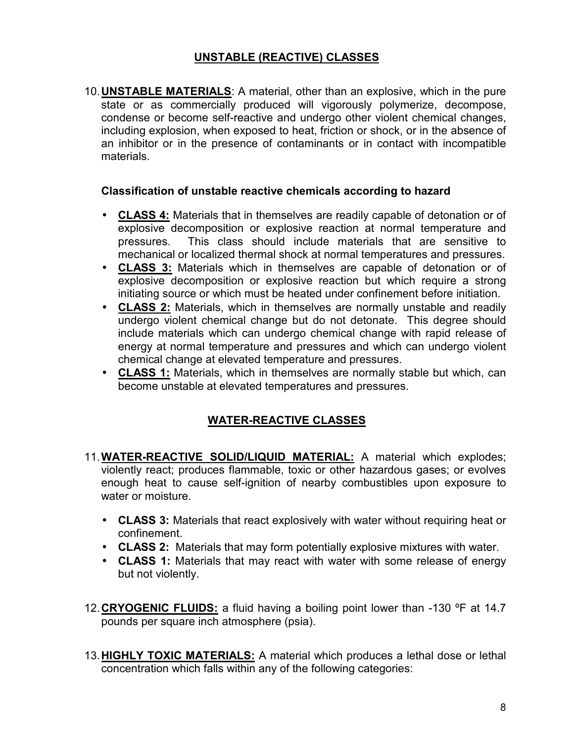#### **UNSTABLE (REACTIVE) CLASSES**

10. **UNSTABLE MATERIALS**: A material, other than an explosive, which in the pure state or as commercially produced will vigorously polymerize, decompose, condense or become self-reactive and undergo other violent chemical changes, including explosion, when exposed to heat, friction or shock, or in the absence of an inhibitor or in the presence of contaminants or in contact with incompatible materials.

#### **Classification of unstable reactive chemicals according to hazard**

- **CLASS 4:** Materials that in themselves are readily capable of detonation or of explosive decomposition or explosive reaction at normal temperature and pressures. This class should include materials that are sensitive to mechanical or localized thermal shock at normal temperatures and pressures.
- **CLASS 3:** Materials which in themselves are capable of detonation or of explosive decomposition or explosive reaction but which require a strong initiating source or which must be heated under confinement before initiation.
- **CLASS 2:** Materials, which in themselves are normally unstable and readily undergo violent chemical change but do not detonate. This degree should include materials which can undergo chemical change with rapid release of energy at normal temperature and pressures and which can undergo violent chemical change at elevated temperature and pressures.
- **CLASS 1:** Materials, which in themselves are normally stable but which, can become unstable at elevated temperatures and pressures.

# **WATER-REACTIVE CLASSES**

- 11. **WATER-REACTIVE SOLID/LIQUID MATERIAL:** A material which explodes; violently react; produces flammable, toxic or other hazardous gases; or evolves enough heat to cause self-ignition of nearby combustibles upon exposure to water or moisture.
	- **CLASS 3:** Materials that react explosively with water without requiring heat or confinement.
	- **CLASS 2:** Materials that may form potentially explosive mixtures with water.
	- **CLASS 1:** Materials that may react with water with some release of energy but not violently.
- 12. **CRYOGENIC FLUIDS:** a fluid having a boiling point lower than -130 ºF at 14.7 pounds per square inch atmosphere (psia).
- 13. **HIGHLY TOXIC MATERIALS:** A material which produces a lethal dose or lethal concentration which falls within any of the following categories: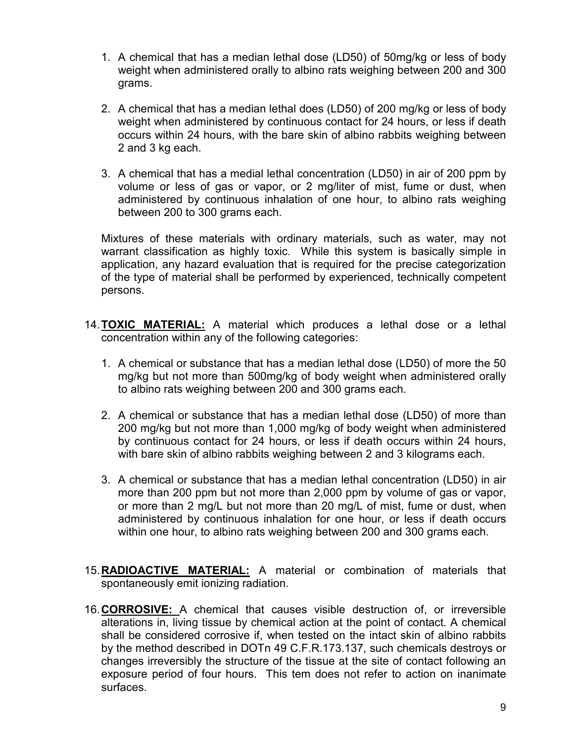- 1. A chemical that has a median lethal dose (LD50) of 50mg/kg or less of body weight when administered orally to albino rats weighing between 200 and 300 grams.
- 2. A chemical that has a median lethal does (LD50) of 200 mg/kg or less of body weight when administered by continuous contact for 24 hours, or less if death occurs within 24 hours, with the bare skin of albino rabbits weighing between 2 and 3 kg each.
- 3. A chemical that has a medial lethal concentration (LD50) in air of 200 ppm by volume or less of gas or vapor, or 2 mg/liter of mist, fume or dust, when administered by continuous inhalation of one hour, to albino rats weighing between 200 to 300 grams each.

Mixtures of these materials with ordinary materials, such as water, may not warrant classification as highly toxic. While this system is basically simple in application, any hazard evaluation that is required for the precise categorization of the type of material shall be performed by experienced, technically competent persons.

- 14. **TOXIC MATERIAL:** A material which produces a lethal dose or a lethal concentration within any of the following categories:
	- 1. A chemical or substance that has a median lethal dose (LD50) of more the 50 mg/kg but not more than 500mg/kg of body weight when administered orally to albino rats weighing between 200 and 300 grams each.
	- 2. A chemical or substance that has a median lethal dose (LD50) of more than 200 mg/kg but not more than 1,000 mg/kg of body weight when administered by continuous contact for 24 hours, or less if death occurs within 24 hours, with bare skin of albino rabbits weighing between 2 and 3 kilograms each.
	- 3. A chemical or substance that has a median lethal concentration (LD50) in air more than 200 ppm but not more than 2,000 ppm by volume of gas or vapor, or more than 2 mg/L but not more than 20 mg/L of mist, fume or dust, when administered by continuous inhalation for one hour, or less if death occurs within one hour, to albino rats weighing between 200 and 300 grams each.
- 15. **RADIOACTIVE MATERIAL:** A material or combination of materials that spontaneously emit ionizing radiation.
- 16. **CORROSIVE:** A chemical that causes visible destruction of, or irreversible alterations in, living tissue by chemical action at the point of contact. A chemical shall be considered corrosive if, when tested on the intact skin of albino rabbits by the method described in DOTn 49 C.F.R.173.137, such chemicals destroys or changes irreversibly the structure of the tissue at the site of contact following an exposure period of four hours. This tem does not refer to action on inanimate surfaces.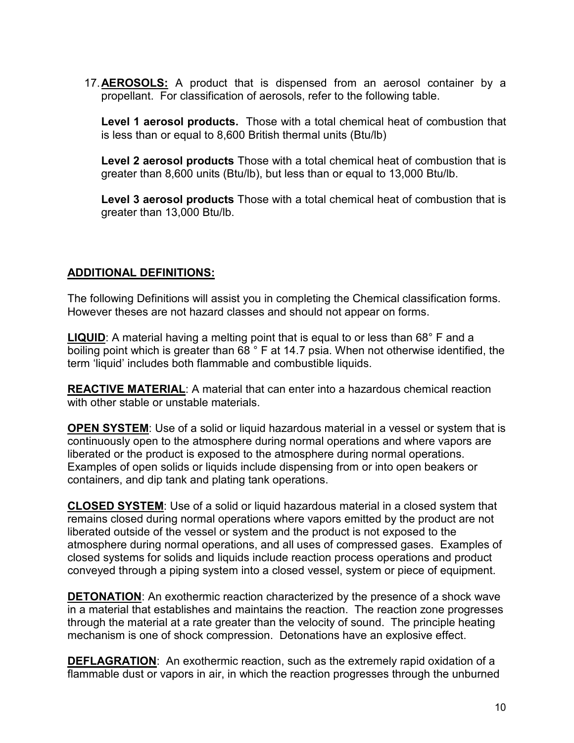17. **AEROSOLS:** A product that is dispensed from an aerosol container by a propellant. For classification of aerosols, refer to the following table.

**Level 1 aerosol products.** Those with a total chemical heat of combustion that is less than or equal to 8,600 British thermal units (Btu/lb)

**Level 2 aerosol products** Those with a total chemical heat of combustion that is greater than 8,600 units (Btu/lb), but less than or equal to 13,000 Btu/lb.

**Level 3 aerosol products** Those with a total chemical heat of combustion that is greater than 13,000 Btu/lb.

### **ADDITIONAL DEFINITIONS:**

The following Definitions will assist you in completing the Chemical classification forms. However theses are not hazard classes and should not appear on forms.

**LIQUID:** A material having a melting point that is equal to or less than 68° F and a boiling point which is greater than 68 ° F at 14.7 psia. When not otherwise identified, the term 'liquid' includes both flammable and combustible liquids.

**REACTIVE MATERIAL**: A material that can enter into a hazardous chemical reaction with other stable or unstable materials.

**OPEN SYSTEM**: Use of a solid or liquid hazardous material in a vessel or system that is continuously open to the atmosphere during normal operations and where vapors are liberated or the product is exposed to the atmosphere during normal operations. Examples of open solids or liquids include dispensing from or into open beakers or containers, and dip tank and plating tank operations.

**CLOSED SYSTEM**: Use of a solid or liquid hazardous material in a closed system that remains closed during normal operations where vapors emitted by the product are not liberated outside of the vessel or system and the product is not exposed to the atmosphere during normal operations, and all uses of compressed gases. Examples of closed systems for solids and liquids include reaction process operations and product conveyed through a piping system into a closed vessel, system or piece of equipment.

**DETONATION**: An exothermic reaction characterized by the presence of a shock wave in a material that establishes and maintains the reaction. The reaction zone progresses through the material at a rate greater than the velocity of sound. The principle heating mechanism is one of shock compression. Detonations have an explosive effect.

**DEFLAGRATION**: An exothermic reaction, such as the extremely rapid oxidation of a flammable dust or vapors in air, in which the reaction progresses through the unburned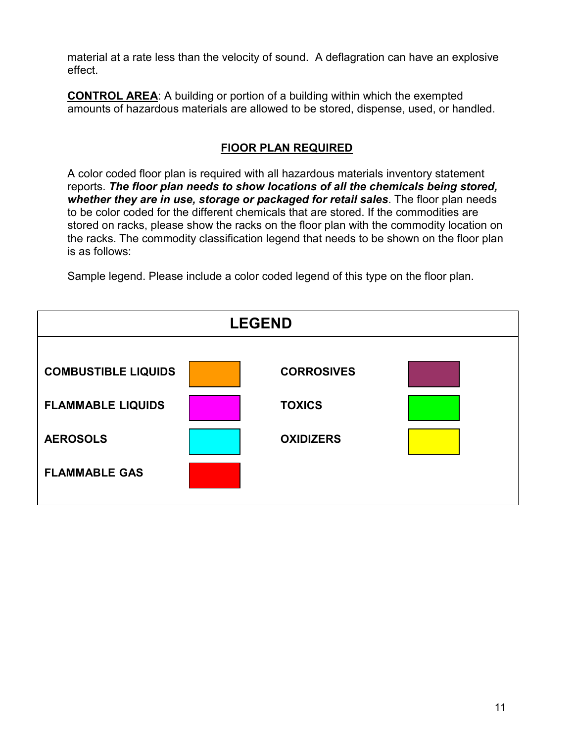material at a rate less than the velocity of sound. A deflagration can have an explosive effect.

**CONTROL AREA**: A building or portion of a building within which the exempted amounts of hazardous materials are allowed to be stored, dispense, used, or handled.

### **FlOOR PLAN REQUIRED**

A color coded floor plan is required with all hazardous materials inventory statement reports. *The floor plan needs to show locations of all the chemicals being stored, whether they are in use, storage or packaged for retail sales*. The floor plan needs to be color coded for the different chemicals that are stored. If the commodities are stored on racks, please show the racks on the floor plan with the commodity location on the racks. The commodity classification legend that needs to be shown on the floor plan is as follows:

Sample legend. Please include a color coded legend of this type on the floor plan.

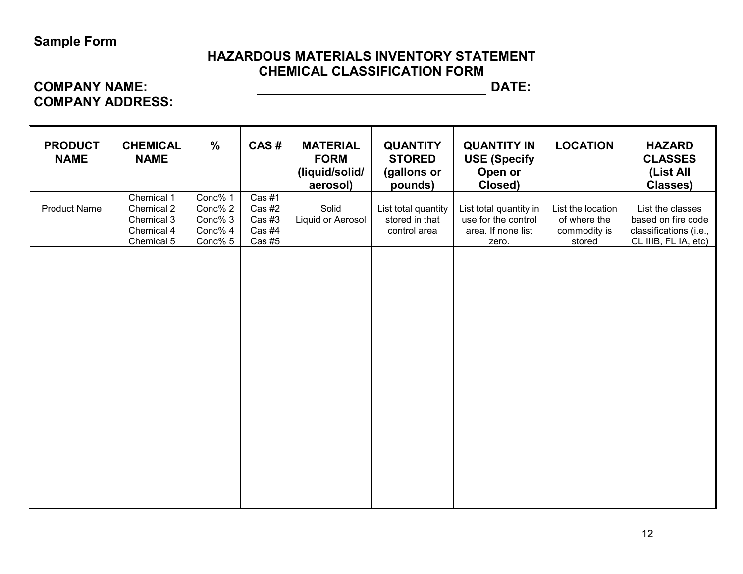# **Sample Form**

# **HAZARDOUS MATERIALS INVENTORY STATEMENT CHEMICAL CLASSIFICATION FORM**

# **COMPANY NAME: DATE: COMPANY ADDRESS:**

| <b>PRODUCT</b><br><b>NAME</b> | <b>CHEMICAL</b><br><b>NAME</b>                                     | $\frac{0}{0}$                                       | CAS#                                           | <b>MATERIAL</b><br><b>FORM</b><br>(liquid/solid/<br>aerosol) | <b>QUANTITY</b><br><b>STORED</b><br>(gallons or<br>pounds) | <b>QUANTITY IN</b><br><b>USE (Specify</b><br>Open or<br>Closed)              | <b>LOCATION</b>                                             | <b>HAZARD</b><br><b>CLASSES</b><br>(List All<br><b>Classes)</b>                          |
|-------------------------------|--------------------------------------------------------------------|-----------------------------------------------------|------------------------------------------------|--------------------------------------------------------------|------------------------------------------------------------|------------------------------------------------------------------------------|-------------------------------------------------------------|------------------------------------------------------------------------------------------|
| <b>Product Name</b>           | Chemical 1<br>Chemical 2<br>Chemical 3<br>Chemical 4<br>Chemical 5 | Conc% 1<br>Conc% 2<br>Conc% 3<br>Conc% 4<br>Conc% 5 | Cas #1<br>Cas #2<br>Cas #3<br>Cas #4<br>Cas #5 | Solid<br>Liquid or Aerosol                                   | List total quantity<br>stored in that<br>control area      | List total quantity in<br>use for the control<br>area. If none list<br>zero. | List the location<br>of where the<br>commodity is<br>stored | List the classes<br>based on fire code<br>classifications (i.e.,<br>CL IIIB, FL IA, etc) |
|                               |                                                                    |                                                     |                                                |                                                              |                                                            |                                                                              |                                                             |                                                                                          |
|                               |                                                                    |                                                     |                                                |                                                              |                                                            |                                                                              |                                                             |                                                                                          |
|                               |                                                                    |                                                     |                                                |                                                              |                                                            |                                                                              |                                                             |                                                                                          |
|                               |                                                                    |                                                     |                                                |                                                              |                                                            |                                                                              |                                                             |                                                                                          |
|                               |                                                                    |                                                     |                                                |                                                              |                                                            |                                                                              |                                                             |                                                                                          |
|                               |                                                                    |                                                     |                                                |                                                              |                                                            |                                                                              |                                                             |                                                                                          |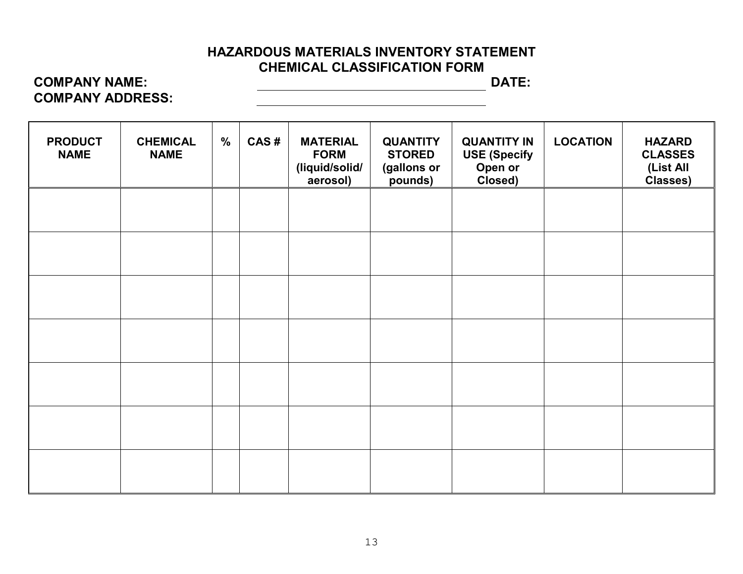# **HAZARDOUS MATERIALS INVENTORY STATEMENT CHEMICAL CLASSIFICATION FORM**

# **COMPANY NAME:** DATE: **COMPANY ADDRESS:**

| <b>PRODUCT</b><br><b>NAME</b> | <b>CHEMICAL</b><br><b>NAME</b> | $\frac{0}{0}$ | CAS# | <b>MATERIAL</b><br><b>FORM</b><br>(liquid/solid/<br>aerosol) | <b>QUANTITY</b><br><b>STORED</b><br>(gallons or<br>pounds) | <b>QUANTITY IN</b><br><b>USE (Specify</b><br>Open or<br>Closed) | <b>LOCATION</b> | <b>HAZARD</b><br><b>CLASSES</b><br>(List All<br>Classes) |
|-------------------------------|--------------------------------|---------------|------|--------------------------------------------------------------|------------------------------------------------------------|-----------------------------------------------------------------|-----------------|----------------------------------------------------------|
|                               |                                |               |      |                                                              |                                                            |                                                                 |                 |                                                          |
|                               |                                |               |      |                                                              |                                                            |                                                                 |                 |                                                          |
|                               |                                |               |      |                                                              |                                                            |                                                                 |                 |                                                          |
|                               |                                |               |      |                                                              |                                                            |                                                                 |                 |                                                          |
|                               |                                |               |      |                                                              |                                                            |                                                                 |                 |                                                          |
|                               |                                |               |      |                                                              |                                                            |                                                                 |                 |                                                          |
|                               |                                |               |      |                                                              |                                                            |                                                                 |                 |                                                          |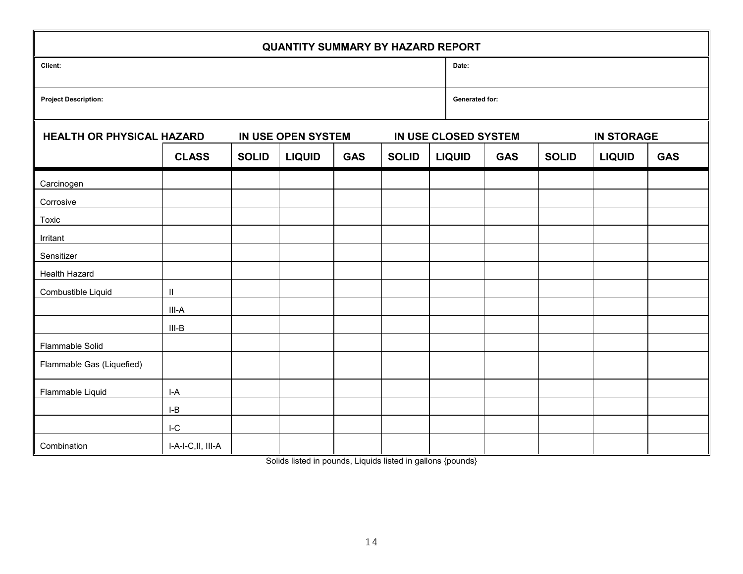| <b>QUANTITY SUMMARY BY HAZARD REPORT</b>               |                            |              |               |                                             |  |  |                                           |                |              |               |            |  |  |
|--------------------------------------------------------|----------------------------|--------------|---------------|---------------------------------------------|--|--|-------------------------------------------|----------------|--------------|---------------|------------|--|--|
| Client:                                                |                            |              |               |                                             |  |  |                                           | Date:          |              |               |            |  |  |
| <b>Project Description:</b>                            |                            |              |               |                                             |  |  |                                           | Generated for: |              |               |            |  |  |
| <b>HEALTH OR PHYSICAL HAZARD</b><br>IN USE OPEN SYSTEM |                            |              |               |                                             |  |  | IN USE CLOSED SYSTEM<br><b>IN STORAGE</b> |                |              |               |            |  |  |
|                                                        | <b>CLASS</b>               | <b>SOLID</b> | <b>LIQUID</b> | <b>GAS</b><br><b>SOLID</b><br><b>LIQUID</b> |  |  |                                           | <b>GAS</b>     | <b>SOLID</b> | <b>LIQUID</b> | <b>GAS</b> |  |  |
| Carcinogen                                             |                            |              |               |                                             |  |  |                                           |                |              |               |            |  |  |
| Corrosive                                              |                            |              |               |                                             |  |  |                                           |                |              |               |            |  |  |
| Toxic                                                  |                            |              |               |                                             |  |  |                                           |                |              |               |            |  |  |
| Irritant                                               |                            |              |               |                                             |  |  |                                           |                |              |               |            |  |  |
| Sensitizer                                             |                            |              |               |                                             |  |  |                                           |                |              |               |            |  |  |
| Health Hazard                                          |                            |              |               |                                             |  |  |                                           |                |              |               |            |  |  |
| Combustible Liquid                                     | $\ensuremath{\mathsf{II}}$ |              |               |                                             |  |  |                                           |                |              |               |            |  |  |
|                                                        | III-A                      |              |               |                                             |  |  |                                           |                |              |               |            |  |  |
|                                                        | $III-B$                    |              |               |                                             |  |  |                                           |                |              |               |            |  |  |
| Flammable Solid                                        |                            |              |               |                                             |  |  |                                           |                |              |               |            |  |  |
| Flammable Gas (Liquefied)                              |                            |              |               |                                             |  |  |                                           |                |              |               |            |  |  |
| Flammable Liquid                                       | $I-A$                      |              |               |                                             |  |  |                                           |                |              |               |            |  |  |
|                                                        | $I-B$                      |              |               |                                             |  |  |                                           |                |              |               |            |  |  |
|                                                        | $I-C$                      |              |               |                                             |  |  |                                           |                |              |               |            |  |  |
| Combination                                            | I-A-I-C, II, III-A         |              |               |                                             |  |  |                                           |                |              |               |            |  |  |

Solids listed in pounds, Liquids listed in gallons {pounds}